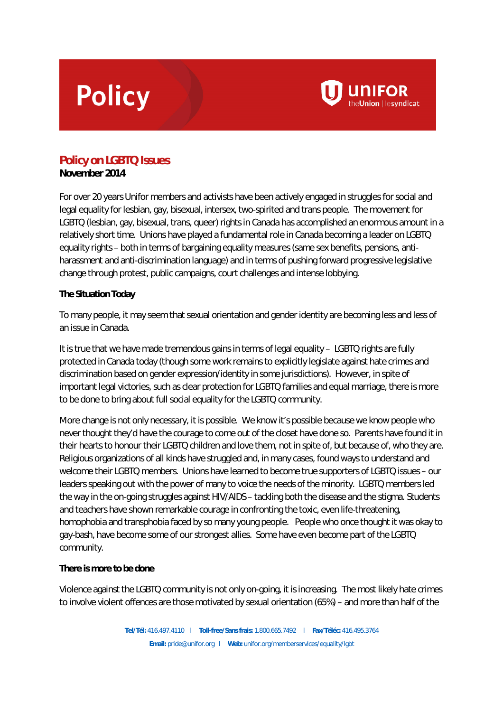## **Policy**



**November 2014**

For over 20 years Unifor members and activists have been actively engaged in struggles for social and legal equality for lesbian, gay, bisexual, intersex, two-spirited and trans people. The movement for LGBTQ (lesbian, gay, bisexual, trans, queer) rights in Canada has accomplished an enormous amount in a relatively short time. Unions have played a fundamental role in Canada becoming a leader on LGBTQ equality rights – both in terms of bargaining equality measures (same sex benefits, pensions, antiharassment and anti-discrimination language) and in terms of pushing forward progressive legislative change through protest, public campaigns, court challenges and intense lobbying.

**UNIFOR** 

## **The Situation Today**

To many people, it may seem that sexual orientation and gender identity are becoming less and less of an issue in Canada.

It is true that we have made tremendous gains in terms of legal equality – LGBTQ rights are fully protected in Canada today (though some work remains to explicitly legislate against hate crimes and discrimination based on gender expression/identity in some jurisdictions). However, in spite of important legal victories, such as clear protection for LGBTQ families and equal marriage, there is more to be done to bring about full social equality for the LGBTQ community.

More change is not only necessary, it is possible. We know it's possible because we know people who never thought they'd have the courage to come out of the closet have done so. Parents have found it in their hearts to honour their LGBTQ children and love them, not in spite of, but because of, who they are. Religious organizations of all kinds have struggled and, in many cases, found ways to understand and welcome their LGBTQ members. Unions have learned to become true supporters of LGBTQ issues – our leaders speaking out with the power of many to voice the needs of the minority. LGBTQ members led the way in the on-going struggles against HIV/AIDS – tackling both the disease and the stigma. Students and teachers have shown remarkable courage in confronting the toxic, even life-threatening, homophobia and transphobia faced by so many young people. People who once thought it was okay to gay-bash, have become some of our strongest allies. Some have even become part of the LGBTQ community.

## **There is more to be done**

Violence against the LGBTQ community is not only on-going, it is increasing. The most likely hate crimes to involve violent offences are those motivated by sexual orientation (65%) – and more than half of the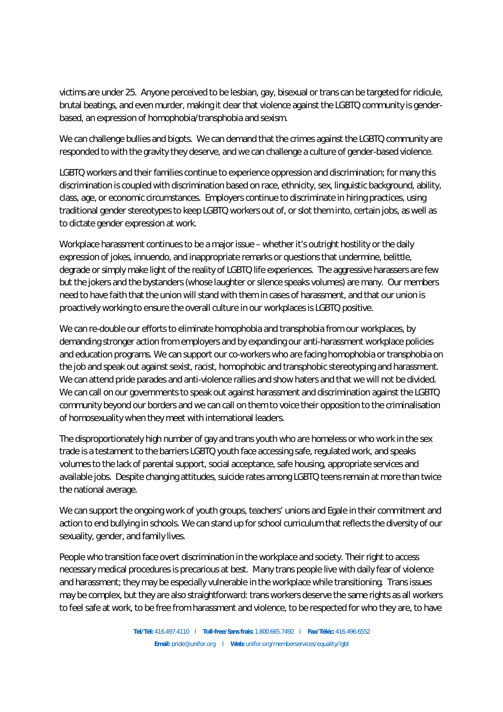victims are under 25. Anyone perceived to be lesbian, gay, bisexual or trans can be targeted for ridicule, brutal beatings, and even murder, making it clear that violence against the LGBTQ community is genderbased, an expression of homophobia/transphobia and sexism.

We can challenge bullies and bigots. We can demand that the crimes against the LGBTQ community are responded to with the gravity they deserve, and we can challenge a culture of gender-based violence.

LGBTQ workers and their families continue to experience oppression and discrimination; for many this discrimination is coupled with discrimination based on race, ethnicity, sex, linguistic background, ability, class, age, or economic circumstances. Employers continue to discriminate in hiring practices, using traditional gender stereotypes to keep LGBTQ workers out of, or slot them into, certain jobs, as well as to dictate gender expression at work.

Workplace harassment continues to be a major issue – whether it's outright hostility or the daily expression of jokes, innuendo, and inappropriate remarks or questions that undermine, belittle, degrade or simply make light of the reality of LGBTQ life experiences. The aggressive harassers are few but the jokers and the bystanders (whose laughter or silence speaks volumes) are many. Our members need to have faith that the union will stand with them in cases of harassment, and that our union is proactively working to ensure the overall culture in our workplaces is LGBTQ positive.

We can re-double our efforts to eliminate homophobia and transphobia from our workplaces, by demanding stronger action from employers and by expanding our anti-harassment workplace policies and education programs. We can support our co-workers who are facing homophobia or transphobia on the job and speak out against sexist, racist, homophobic and transphobic stereotyping and harassment. We can attend pride parades and anti-violence rallies and show haters and that we will not be divided. We can call on our governments to speak out against harassment and discrimination against the LGBTQ community beyond our borders and we can call on them to voice their opposition to the criminalisation of homosexuality when they meet with international leaders.

The disproportionately high number of gay and trans youth who are homeless or who work in the sex trade is a testament to the barriers LGBTQ youth face accessing safe, regulated work, and speaks volumes to the lack of parental support, social acceptance, safe housing, appropriate services and available jobs. Despite changing attitudes, suicide rates among LGBTQ teens remain at more than twice the national average.

We can support the ongoing work of youth groups, teachers' unions and Egale in their commitment and action to end bullying in schools. We can stand up for school curriculum that reflects the diversity of our sexuality, gender, and family lives.

People who transition face overt discrimination in the workplace and society. Their right to access necessary medical procedures is precarious at best. Many trans people live with daily fear of violence and harassment; they may be especially vulnerable in the workplace while transitioning. Trans issues may be complex, but they are also straightforward: trans workers deserve the same rights as all workers to feel safe at work, to be free from harassment and violence, to be respected for who they are, to have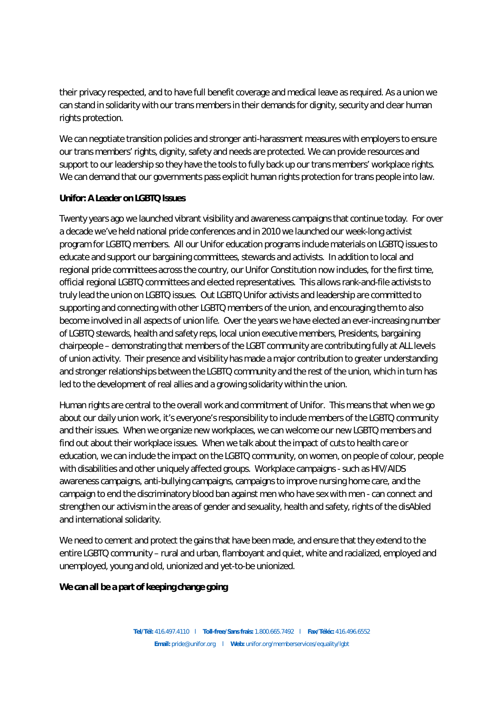their privacy respected, and to have full benefit coverage and medical leave as required. As a union we can stand in solidarity with our trans members in their demands for dignity, security and clear human rights protection.

We can negotiate transition policies and stronger anti-harassment measures with employers to ensure our trans members' rights, dignity, safety and needs are protected. We can provide resources and support to our leadership so they have the tools to fully back up our trans members' workplace rights. We can demand that our governments pass explicit human rights protection for trans people into law.

## **Unifor: A Leader on LGBTQ Issues**

Twenty years ago we launched vibrant visibility and awareness campaigns that continue today. For over a decade we've held national pride conferences and in 2010 we launched our week-long activist program for LGBTQ members. All our Unifor education programs include materials on LGBTQ issues to educate and support our bargaining committees, stewards and activists. In addition to local and regional pride committees across the country, our Unifor Constitution now includes, for the first time, official regional LGBTQ committees and elected representatives. This allows rank-and-file activists to truly lead the union on LGBTQ issues. Out LGBTQ Unifor activists and leadership are committed to supporting and connecting with other LGBTQ members of the union, and encouraging them to also become involved in all aspects of union life. Over the years we have elected an ever-increasing number of LGBTQ stewards, health and safety reps, local union executive members, Presidents, bargaining chairpeople – demonstrating that members of the LGBT community are contributing fully at ALL levels of union activity. Their presence and visibility has made a major contribution to greater understanding and stronger relationships between the LGBTQ community and the rest of the union, which in turn has led to the development of real allies and a growing solidarity within the union.

Human rights are central to the overall work and commitment of Unifor. This means that when we go about our daily union work, it's everyone's responsibility to include members of the LGBTQ community and their issues. When we organize new workplaces, we can welcome our new LGBTQ members and find out about their workplace issues. When we talk about the impact of cuts to health care or education, we can include the impact on the LGBTQ community, on women, on people of colour, people with disabilities and other uniquely affected groups. Workplace campaigns - such as HIV/AIDS awareness campaigns, anti-bullying campaigns, campaigns to improve nursing home care, and the campaign to end the discriminatory blood ban against men who have sex with men - can connect and strengthen our activism in the areas of gender and sexuality, health and safety, rights of the disAbled and international solidarity.

We need to cement and protect the gains that have been made, and ensure that they extend to the entire LGBTQ community – rural and urban, flamboyant and quiet, white and racialized, employed and unemployed, young and old, unionized and yet-to-be unionized.

**We can all be a part of keeping change going**